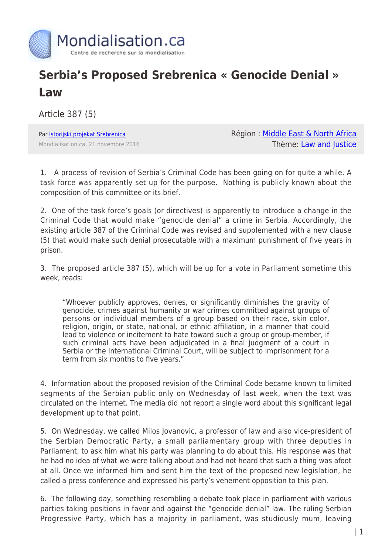

## **Serbia's Proposed Srebrenica « Genocide Denial » Law**

Article 387 (5)

Par [Istorijski projekat Srebrenica](https://www.mondialisation.ca/author/istorijski-projekat-srebrenica) Mondialisation.ca, 21 novembre 2016 Région : [Middle East & North Africa](https://www.mondialisation.ca/region/middle-east) Thème: [Law and Justice](https://www.mondialisation.ca/theme/law-and-justice)

1. A process of revision of Serbia's Criminal Code has been going on for quite a while. A task force was apparently set up for the purpose. Nothing is publicly known about the composition of this committee or its brief.

2. One of the task force's goals (or directives) is apparently to introduce a change in the Criminal Code that would make "genocide denial" a crime in Serbia. Accordingly, the existing article 387 of the Criminal Code was revised and supplemented with a new clause (5) that would make such denial prosecutable with a maximum punishment of five years in prison.

3. The proposed article 387 (5), which will be up for a vote in Parliament sometime this week, reads:

"Whoever publicly approves, denies, or significantly diminishes the gravity of genocide, crimes against humanity or war crimes committed against groups of persons or individual members of a group based on their race, skin color, religion, origin, or state, national, or ethnic affiliation, in a manner that could lead to violence or incitement to hate toward such a group or group-member, if such criminal acts have been adjudicated in a final judgment of a court in Serbia or the International Criminal Court, will be subject to imprisonment for a term from six months to five years."

4. Information about the proposed revision of the Criminal Code became known to limited segments of the Serbian public only on Wednesday of last week, when the text was circulated on the internet. The media did not report a single word about this significant legal development up to that point.

5. On Wednesday, we called Milos Jovanovic, a professor of law and also vice-president of the Serbian Democratic Party, a small parliamentary group with three deputies in Parliament, to ask him what his party was planning to do about this. His response was that he had no idea of what we were talking about and had not heard that such a thing was afoot at all. Once we informed him and sent him the text of the proposed new legislation, he called a press conference and expressed his party's vehement opposition to this plan.

6. The following day, something resembling a debate took place in parliament with various parties taking positions in favor and against the "genocide denial" law. The ruling Serbian Progressive Party, which has a majority in parliament, was studiously mum, leaving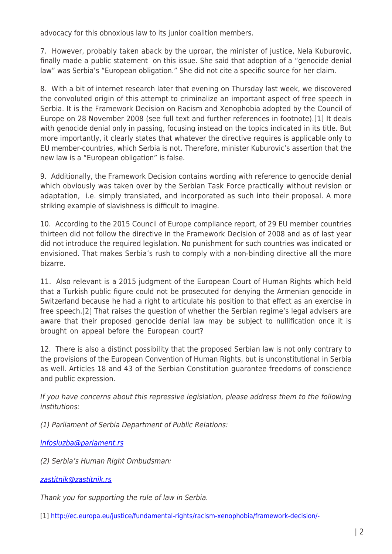advocacy for this obnoxious law to its junior coalition members.

7. However, probably taken aback by the uproar, the minister of justice, Nela Kuburovic, finally made a public statement on this issue. She said that adoption of a "genocide denial law" was Serbia's "European obligation." She did not cite a specific source for her claim.

8. With a bit of internet research later that evening on Thursday last week, we discovered the convoluted origin of this attempt to criminalize an important aspect of free speech in Serbia. It is the Framework Decision on Racism and Xenophobia adopted by the Council of Europe on 28 November 2008 (see full text and further references in footnote).[1] It deals with genocide denial only in passing, focusing instead on the topics indicated in its title. But more importantly, it clearly states that whatever the directive requires is applicable only to EU member-countries, which Serbia is not. Therefore, minister Kuburovic's assertion that the new law is a "European obligation" is false.

9. Additionally, the Framework Decision contains wording with reference to genocide denial which obviously was taken over by the Serbian Task Force practically without revision or adaptation, i.e. simply translated, and incorporated as such into their proposal. A more striking example of slavishness is difficult to imagine.

10. According to the 2015 Council of Europe compliance report, of 29 EU member countries thirteen did not follow the directive in the Framework Decision of 2008 and as of last year did not introduce the required legislation. No punishment for such countries was indicated or envisioned. That makes Serbia's rush to comply with a non-binding directive all the more bizarre.

11. Also relevant is a 2015 judgment of the European Court of Human Rights which held that a Turkish public figure could not be prosecuted for denying the Armenian genocide in Switzerland because he had a right to articulate his position to that effect as an exercise in free speech.[2] That raises the question of whether the Serbian regime's legal advisers are aware that their proposed genocide denial law may be subject to nullification once it is brought on appeal before the European court?

12. There is also a distinct possibility that the proposed Serbian law is not only contrary to the provisions of the European Convention of Human Rights, but is unconstitutional in Serbia as well. Articles 18 and 43 of the Serbian Constitution guarantee freedoms of conscience and public expression.

If you have concerns about this repressive legislation, please address them to the following institutions:

(1) Parliament of Serbia Department of Public Relations:

[infosluzba@parlament.rs](mailto:infosluzba@parlament.rs)

(2) Serbia's Human Right Ombudsman:

[zastitnik@zastitnik.rs](mailto:zastitnik@zastitnik.rs)

Thank you for supporting the rule of law in Serbia.

[1] [http://ec.europa.eu/justice/fundamental-rights/racism-xenophobia/framework-decision/-](http://ec.europa.eu/justice/fundamental-rights/racism-xenophobia/framework-decision/index_en.htm)